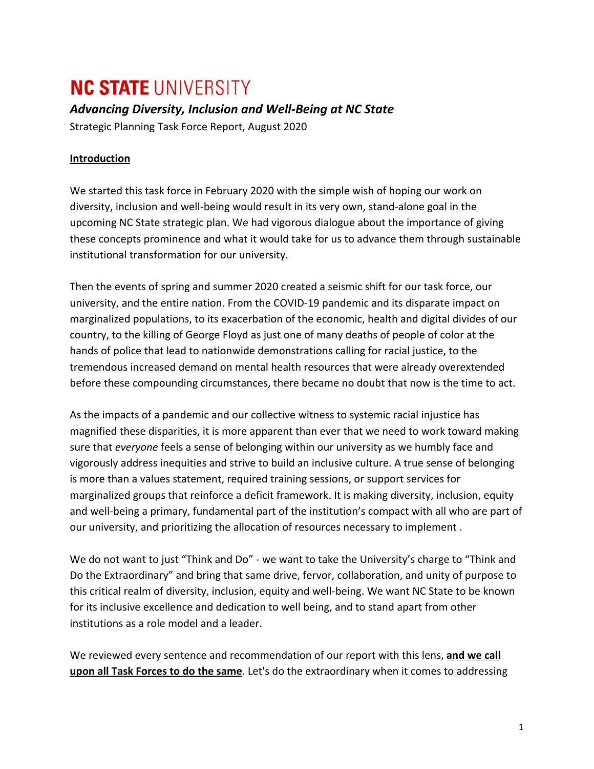# **NC STATE UNIVERSITY**

# *Advancing Diversity, Inclusion and Well-Being at NC State*

Strategic Planning Task Force Report, August 2020

# **Introduction**

We started this task force in February 2020 with the simple wish of hoping our work on diversity, inclusion and well-being would result in its very own, stand-alone goal in the upcoming NC State strategic plan. We had vigorous dialogue about the importance of giving these concepts prominence and what it would take for us to advance them through sustainable institutional transformation for our university.

Then the events of spring and summer 2020 created a seismic shift for our task force, our university, and the entire nation. From the COVID-19 pandemic and its disparate impact on marginalized populations, to its exacerbation of the economic, health and digital divides of our country, to the killing of George Floyd as just one of many deaths of people of color at the hands of police that lead to nationwide demonstrations calling for racial justice, to the tremendous increased demand on mental health resources that were already overextended before these compounding circumstances, there became no doubt that now is the time to act.

As the impacts of a pandemic and our collective witness to systemic racial injustice has magnified these disparities, it is more apparent than ever that we need to work toward making sure that *everyone* feels a sense of belonging within our university as we humbly face and vigorously address inequities and strive to build an inclusive culture. A true sense of belonging is more than a values statement, required training sessions, or support services for marginalized groups that reinforce a deficit framework. It is making diversity, inclusion, equity and well-being a primary, fundamental part of the institution's compact with all who are part of our university, and prioritizing the allocation of resources necessary to implement .

We do not want to just "Think and Do" - we want to take the University's charge to "Think and Do the Extraordinary" and bring that same drive, fervor, collaboration, and unity of purpose to this critical realm of diversity, inclusion, equity and well-being. We want NC State to be known for its inclusive excellence and dedication to well being, and to stand apart from other institutions as a role model and a leader.

We reviewed every sentence and recommendation of our report with this lens, **and we call upon all Task Forces to do the same**. Let's do the extraordinary when it comes to addressing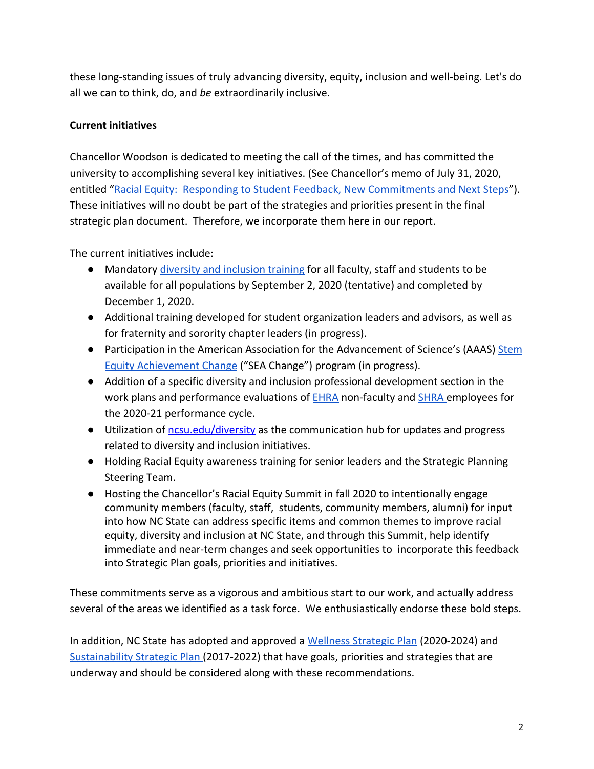these long-standing issues of truly advancing diversity, equity, inclusion and well-being. Let's do all we can to think, do, and *be* extraordinarily inclusive.

## **Current initiatives**

Chancellor Woodson is dedicated to meeting the call of the times, and has committed the university to accomplishing several key initiatives. (See Chancellor's memo of July 31, 2020, entitled "[Racial Equity: Responding to Student Feedback, New Commitments and Next Steps"](https://leadership.ncsu.edu/chancellor/)). These initiatives will no doubt be part of the strategies and priorities present in the final strategic plan document. Therefore, we incorporate them here in our report.

The current initiatives include:

- Mandatory [diversity and inclusion training](http://go.ncsu.edu/dei-road-map) for all faculty, staff and students to be available for all populations by September 2, 2020 (tentative) and completed by December 1, 2020.
- Additional training developed for student organization leaders and advisors, as well as for fraternity and sorority chapter leaders (in progress).
- Participation in the American Association for the Advancement of Science's (AAAS) [Stem](https://seachange.aaas.org/) [Equity Achievement Change](https://seachange.aaas.org/) ("SEA Change") program (in progress).
- Addition of a specific diversity and inclusion professional development section in the work plans and performance evaluations of **EHRA** non-faculty and **SHRA** employees for the 2020-21 performance cycle.
- Utilization of [ncsu.edu/diversity](https://www.ncsu.edu/diversity/) as the communication hub for updates and progress related to diversity and inclusion initiatives.
- Holding Racial Equity awareness training for senior leaders and the Strategic Planning Steering Team.
- Hosting the Chancellor's Racial Equity Summit in fall 2020 to intentionally engage community members (faculty, staff, students, community members, alumni) for input into how NC State can address specific items and common themes to improve racial equity, diversity and inclusion at NC State, and through this Summit, help identify immediate and near-term changes and seek opportunities to incorporate this feedback into Strategic Plan goals, priorities and initiatives.

These commitments serve as a vigorous and ambitious start to our work, and actually address several of the areas we identified as a task force. We enthusiastically endorse these bold steps.

In addition, NC State has adopted and approved a [Wellness Strategic Plan](https://wellness.ncsu.edu/wellness-strategic-plan/) (2020-2024) and [Sustainability Strategic Plan](https://sustainability.ncsu.edu/sustainability-strategic-plan/) (2017-2022) that have goals, priorities and strategies that are underway and should be considered along with these recommendations.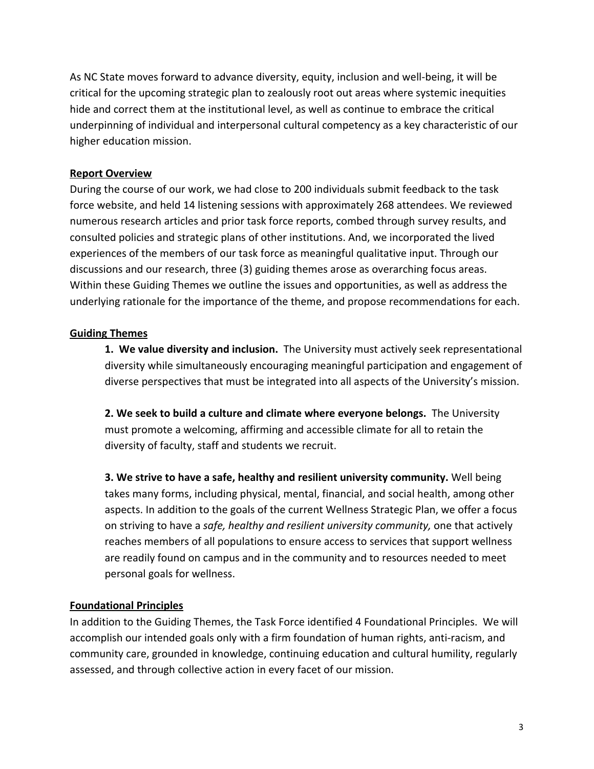As NC State moves forward to advance diversity, equity, inclusion and well-being, it will be critical for the upcoming strategic plan to zealously root out areas where systemic inequities hide and correct them at the institutional level, as well as continue to embrace the critical underpinning of individual and interpersonal cultural competency as a key characteristic of our higher education mission.

#### **Report Overview**

During the course of our work, we had close to 200 individuals submit feedback to the task force website, and held 14 listening sessions with approximately 268 attendees. We reviewed numerous research articles and prior task force reports, combed through survey results, and consulted policies and strategic plans of other institutions. And, we incorporated the lived experiences of the members of our task force as meaningful qualitative input. Through our discussions and our research, three (3) guiding themes arose as overarching focus areas. Within these Guiding Themes we outline the issues and opportunities, as well as address the underlying rationale for the importance of the theme, and propose recommendations for each.

## **Guiding Themes**

**1. We value diversity and inclusion.** The University must actively seek representational diversity while simultaneously encouraging meaningful participation and engagement of diverse perspectives that must be integrated into all aspects of the University's mission.

**2. We seek to build a culture and climate where everyone belongs.** The University must promote a welcoming, affirming and accessible climate for all to retain the diversity of faculty, staff and students we recruit.

**3. We strive to have a safe, healthy and resilient university community.** Well being takes many forms, including physical, mental, financial, and social health, among other aspects. In addition to the goals of the current Wellness Strategic Plan, we offer a focus on striving to have a *safe, healthy and resilient university community,* one that actively reaches members of all populations to ensure access to services that support wellness are readily found on campus and in the community and to resources needed to meet personal goals for wellness.

## **Foundational Principles**

In addition to the Guiding Themes, the Task Force identified 4 Foundational Principles. We will accomplish our intended goals only with a firm foundation of human rights, anti-racism, and community care, grounded in knowledge, continuing education and cultural humility, regularly assessed, and through collective action in every facet of our mission.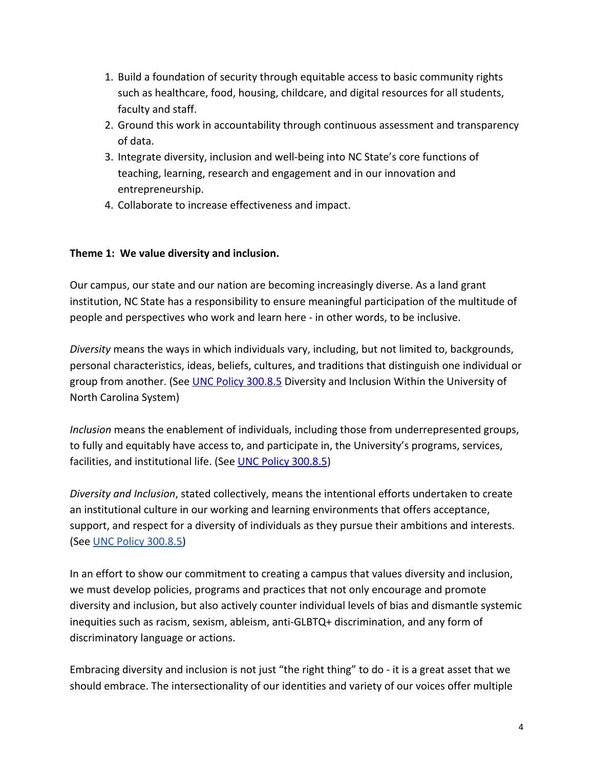- 1. Build a foundation of security through equitable access to basic community rights such as healthcare, food, housing, childcare, and digital resources for all students, faculty and staff.
- 2. Ground this work in accountability through continuous assessment and transparency of data.
- 3. Integrate diversity, inclusion and well-being into NC State's core functions of teaching, learning, research and engagement and in our innovation and entrepreneurship.
- 4. Collaborate to increase effectiveness and impact.

#### **Theme 1: We value diversity and inclusion.**

Our campus, our state and our nation are becoming increasingly diverse. As a land grant institution, NC State has a responsibility to ensure meaningful participation of the multitude of people and perspectives who work and learn here - in other words, to be inclusive.

*Diversity* means the ways in which individuals vary, including, but not limited to, backgrounds, personal characteristics, ideas, beliefs, cultures, and traditions that distinguish one individual or group from another. (See [UNC Policy 300.8.5](https://www.northcarolina.edu/apps/policy/index.php?section=300.8.5) Diversity and Inclusion Within the University of North Carolina System)

*Inclusion* means the enablement of individuals, including those from underrepresented groups, to fully and equitably have access to, and participate in, the University's programs, services, facilities, and institutional life. (See [UNC Policy 300.8.5\)](https://www.northcarolina.edu/apps/policy/index.php?section=300.8.5)

*Diversity and Inclusion*, stated collectively, means the intentional efforts undertaken to create an institutional culture in our working and learning environments that offers acceptance, support, and respect for a diversity of individuals as they pursue their ambitions and interests. (See [UNC Policy 300.8.5](https://www.northcarolina.edu/apps/policy/index.php?section=300.8.5))

In an effort to show our commitment to creating a campus that values diversity and inclusion, we must develop policies, programs and practices that not only encourage and promote diversity and inclusion, but also actively counter individual levels of bias and dismantle systemic inequities such as racism, sexism, ableism, anti-GLBTQ+ discrimination, and any form of discriminatory language or actions.

Embracing diversity and inclusion is not just "the right thing" to do - it is a great asset that we should embrace. The intersectionality of our identities and variety of our voices offer multiple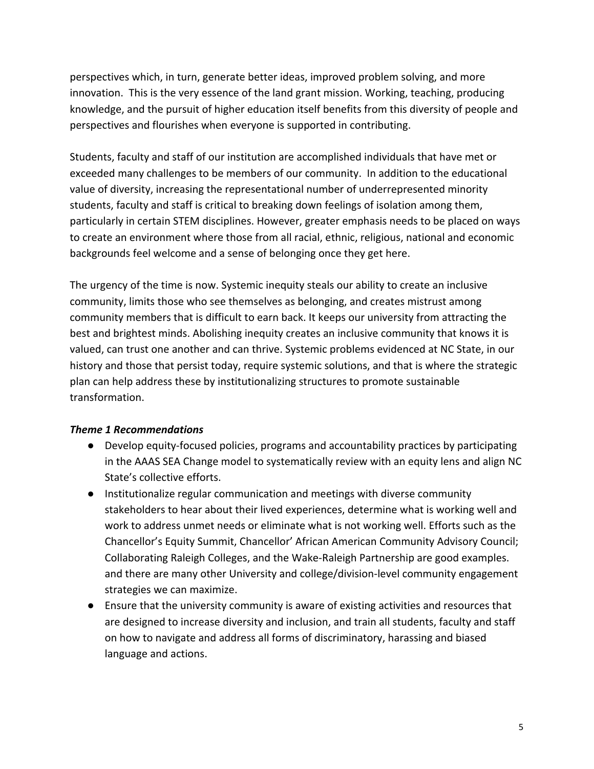perspectives which, in turn, generate better ideas, improved problem solving, and more innovation. This is the very essence of the land grant mission. Working, teaching, producing knowledge, and the pursuit of higher education itself benefits from this diversity of people and perspectives and flourishes when everyone is supported in contributing.

Students, faculty and staff of our institution are accomplished individuals that have met or exceeded many challenges to be members of our community. In addition to the educational value of diversity, increasing the representational number of underrepresented minority students, faculty and staff is critical to breaking down feelings of isolation among them, particularly in certain STEM disciplines. However, greater emphasis needs to be placed on ways to create an environment where those from all racial, ethnic, religious, national and economic backgrounds feel welcome and a sense of belonging once they get here.

The urgency of the time is now. Systemic inequity steals our ability to create an inclusive community, limits those who see themselves as belonging, and creates mistrust among community members that is difficult to earn back. It keeps our university from attracting the best and brightest minds. Abolishing inequity creates an inclusive community that knows it is valued, can trust one another and can thrive. Systemic problems evidenced at NC State, in our history and those that persist today, require systemic solutions, and that is where the strategic plan can help address these by institutionalizing structures to promote sustainable transformation.

#### *Theme 1 Recommendations*

- Develop equity-focused policies, programs and accountability practices by participating in the AAAS SEA Change model to systematically review with an equity lens and align NC State's collective efforts.
- Institutionalize regular communication and meetings with diverse community stakeholders to hear about their lived experiences, determine what is working well and work to address unmet needs or eliminate what is not working well. Efforts such as the Chancellor's Equity Summit, Chancellor' African American Community Advisory Council; Collaborating Raleigh Colleges, and the Wake-Raleigh Partnership are good examples. and there are many other University and college/division-level community engagement strategies we can maximize.
- Ensure that the university community is aware of existing activities and resources that are designed to increase diversity and inclusion, and train all students, faculty and staff on how to navigate and address all forms of discriminatory, harassing and biased language and actions.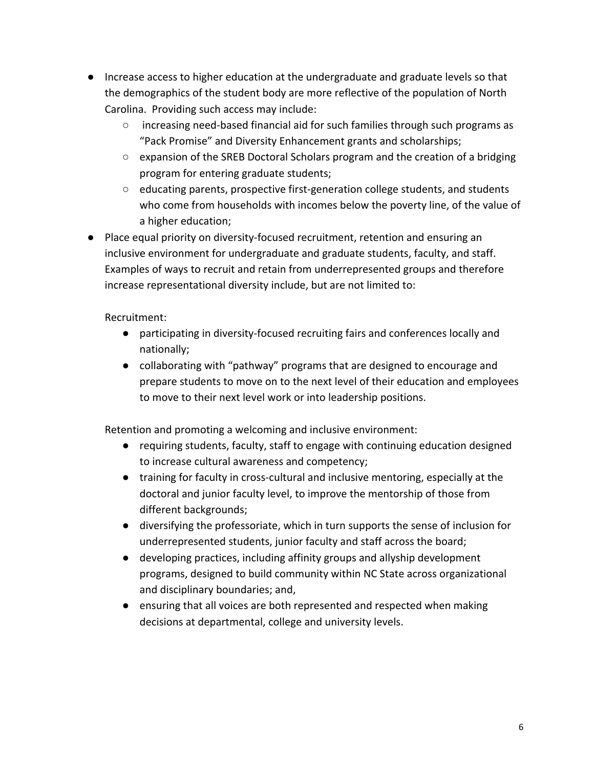- Increase access to higher education at the undergraduate and graduate levels so that the demographics of the student body are more reflective of the population of North Carolina. Providing such access may include:
	- increasing need-based financial aid for such families through such programs as "Pack Promise" and Diversity Enhancement grants and scholarships;
	- expansion of the SREB Doctoral Scholars program and the creation of a bridging program for entering graduate students;
	- educating parents, prospective first-generation college students, and students who come from households with incomes below the poverty line, of the value of a higher education;
- Place equal priority on diversity-focused recruitment, retention and ensuring an inclusive environment for undergraduate and graduate students, faculty, and staff. Examples of ways to recruit and retain from underrepresented groups and therefore increase representational diversity include, but are not limited to:

Recruitment:

- participating in diversity-focused recruiting fairs and conferences locally and nationally;
- collaborating with "pathway" programs that are designed to encourage and prepare students to move on to the next level of their education and employees to move to their next level work or into leadership positions.

Retention and promoting a welcoming and inclusive environment:

- requiring students, faculty, staff to engage with continuing education designed to increase cultural awareness and competency;
- training for faculty in cross-cultural and inclusive mentoring, especially at the doctoral and junior faculty level, to improve the mentorship of those from different backgrounds;
- diversifying the professoriate, which in turn supports the sense of inclusion for underrepresented students, junior faculty and staff across the board;
- developing practices, including affinity groups and allyship development programs, designed to build community within NC State across organizational and disciplinary boundaries; and,
- ensuring that all voices are both represented and respected when making decisions at departmental, college and university levels.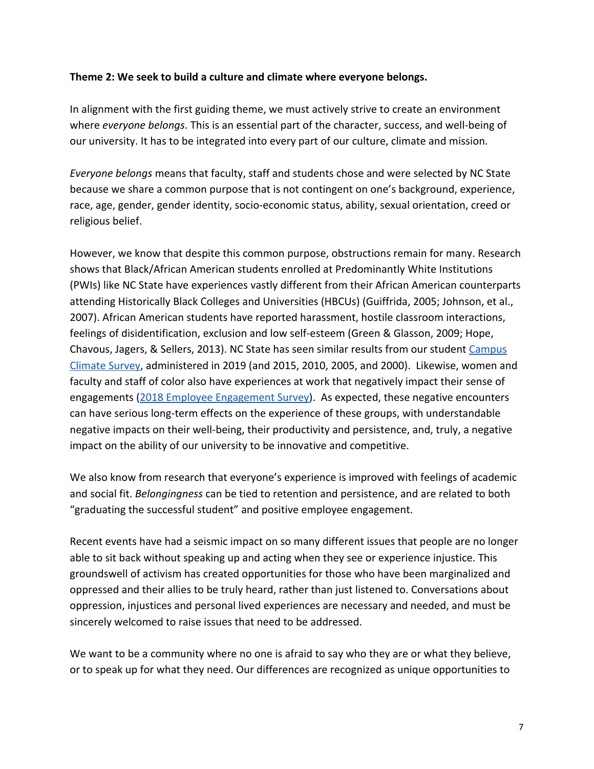#### **Theme 2: We seek to build a culture and climate where everyone belongs.**

In alignment with the first guiding theme, we must actively strive to create an environment where *everyone belongs*. This is an essential part of the character, success, and well-being of our university. It has to be integrated into every part of our culture, climate and mission.

*Everyone belongs* means that faculty, staff and students chose and were selected by NC State because we share a common purpose that is not contingent on one's background, experience, race, age, gender, gender identity, socio-economic status, ability, sexual orientation, creed or religious belief.

However, we know that despite this common purpose, obstructions remain for many. Research shows that Black/African American students enrolled at Predominantly White Institutions (PWIs) like NC State have experiences vastly different from their African American counterparts attending Historically Black Colleges and Universities (HBCUs) (Guiffrida, 2005; Johnson, et al., 2007). African American students have reported harassment, hostile classroom interactions, feelings of disidentification, exclusion and low self-esteem (Green & Glasson, 2009; Hope, Chavous, Jagers, & Sellers, 2013). NC State has seen similar results from our student [Campus](https://oirp.ncsu.edu/surveys/survey-reports/studentalumni-surveys/campus-climate-survey/) [Climate Survey,](https://oirp.ncsu.edu/surveys/survey-reports/studentalumni-surveys/campus-climate-survey/) administered in 2019 (and 2015, 2010, 2005, and 2000). Likewise, women and faculty and staff of color also have experiences at work that negatively impact their sense of engagements  $(2018$  Employee Engagement Survey). As expected, these negative encounters can have serious long-term effects on the experience of these groups, with understandable negative impacts on their well-being, their productivity and persistence, and, truly, a negative impact on the ability of our university to be innovative and competitive.

We also know from research that everyone's experience is improved with feelings of academic and social fit. *Belongingness* can be tied to retention and persistence, and are related to both "graduating the successful student" and positive employee engagement.

Recent events have had a seismic impact on so many different issues that people are no longer able to sit back without speaking up and acting when they see or experience injustice. This groundswell of activism has created opportunities for those who have been marginalized and oppressed and their allies to be truly heard, rather than just listened to. Conversations about oppression, injustices and personal lived experiences are necessary and needed, and must be sincerely welcomed to raise issues that need to be addressed.

We want to be a community where no one is afraid to say who they are or what they believe, or to speak up for what they need. Our differences are recognized as unique opportunities to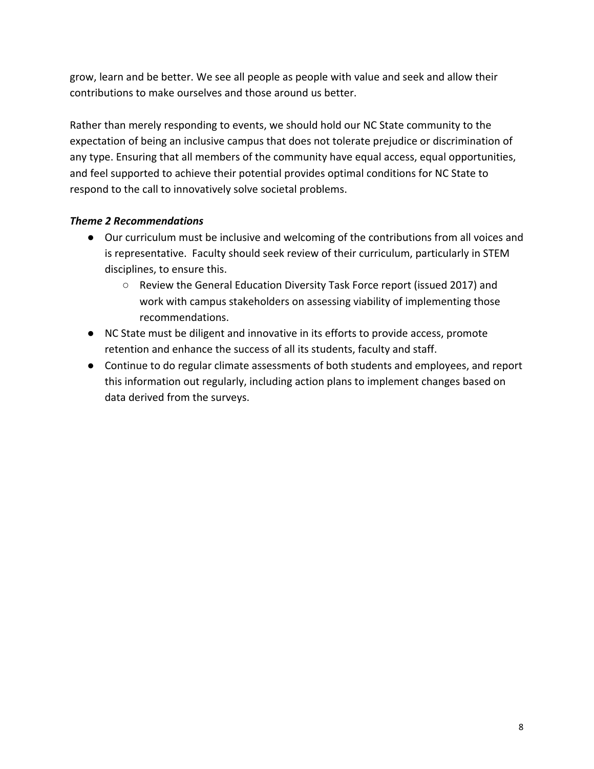grow, learn and be better. We see all people as people with value and seek and allow their contributions to make ourselves and those around us better.

Rather than merely responding to events, we should hold our NC State community to the expectation of being an inclusive campus that does not tolerate prejudice or discrimination of any type. Ensuring that all members of the community have equal access, equal opportunities, and feel supported to achieve their potential provides optimal conditions for NC State to respond to the call to innovatively solve societal problems.

## *Theme 2 Recommendations*

- Our curriculum must be inclusive and welcoming of the contributions from all voices and is representative. Faculty should seek review of their curriculum, particularly in STEM disciplines, to ensure this.
	- Review the General Education Diversity Task Force report (issued 2017) and work with campus stakeholders on assessing viability of implementing those recommendations.
- NC State must be diligent and innovative in its efforts to provide access, promote retention and enhance the success of all its students, faculty and staff.
- Continue to do regular climate assessments of both students and employees, and report this information out regularly, including action plans to implement changes based on data derived from the surveys.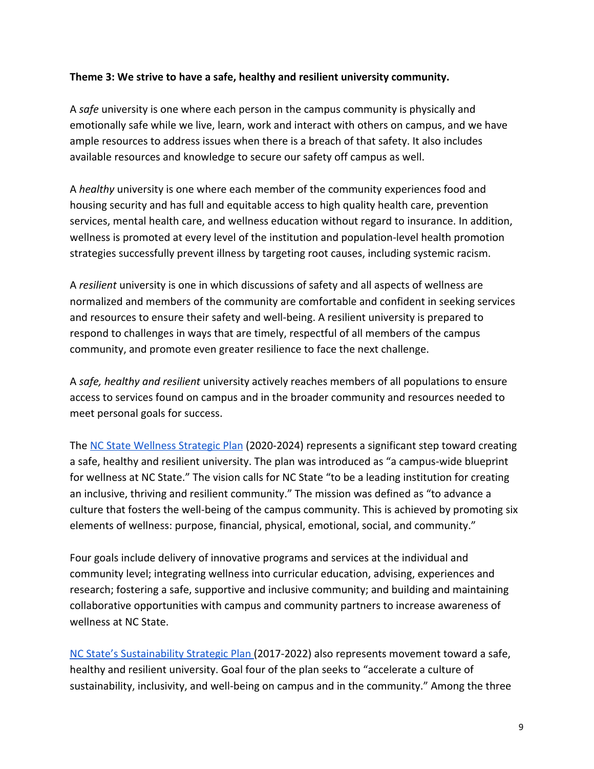#### **Theme 3: We strive to have a safe, healthy and resilient university community.**

A *safe* university is one where each person in the campus community is physically and emotionally safe while we live, learn, work and interact with others on campus, and we have ample resources to address issues when there is a breach of that safety. It also includes available resources and knowledge to secure our safety off campus as well.

A *healthy* university is one where each member of the community experiences food and housing security and has full and equitable access to high quality health care, prevention services, mental health care, and wellness education without regard to insurance. In addition, wellness is promoted at every level of the institution and population-level health promotion strategies successfully prevent illness by targeting root causes, including systemic racism.

A *resilient* university is one in which discussions of safety and all aspects of wellness are normalized and members of the community are comfortable and confident in seeking services and resources to ensure their safety and well-being. A resilient university is prepared to respond to challenges in ways that are timely, respectful of all members of the campus community, and promote even greater resilience to face the next challenge.

A *safe, healthy and resilient* university actively reaches members of all populations to ensure access to services found on campus and in the broader community and resources needed to meet personal goals for success.

The [NC State Wellness Strategic Plan](https://wellness.ncsu.edu/wellness-strategic-plan/) (2020-2024) represents a significant step toward creating a safe, healthy and resilient university. The plan was introduced as "a campus-wide blueprint for wellness at NC State." The vision calls for NC State "to be a leading institution for creating an inclusive, thriving and resilient community." The mission was defined as "to advance a culture that fosters the well-being of the campus community. This is achieved by promoting six elements of wellness: purpose, financial, physical, emotional, social, and community."

Four goals include delivery of innovative programs and services at the individual and community level; integrating wellness into curricular education, advising, experiences and research; fostering a safe, supportive and inclusive community; and building and maintaining collaborative opportunities with campus and community partners to increase awareness of wellness at NC State.

[NC State's Sustainability Strategic Plan \(](https://sustainability.ncsu.edu/sustainability-strategic-plan/)2017-2022) also represents movement toward a safe, healthy and resilient university. Goal four of the plan seeks to "accelerate a culture of sustainability, inclusivity, and well-being on campus and in the community." Among the three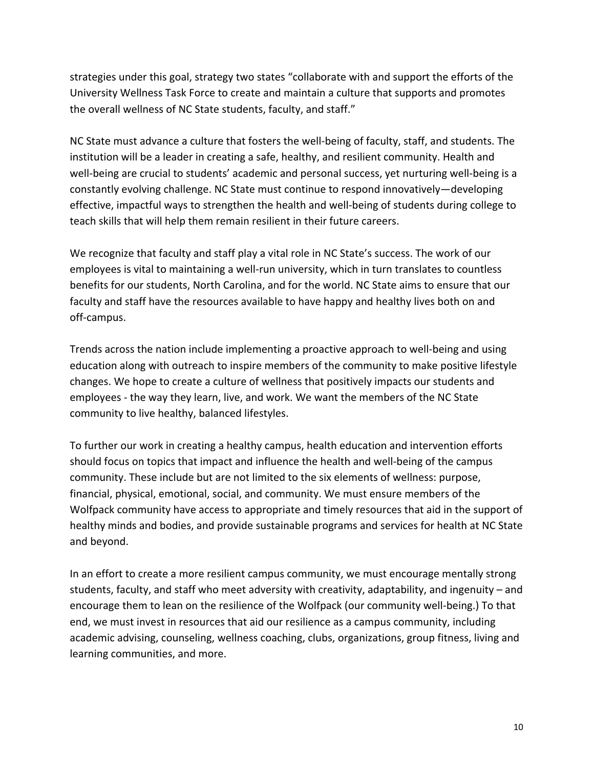strategies under this goal, strategy two states "collaborate with and support the efforts of the University Wellness Task Force to create and maintain a culture that supports and promotes the overall wellness of NC State students, faculty, and staff."

NC State must advance a culture that fosters the well-being of faculty, staff, and students. The institution will be a leader in creating a safe, healthy, and resilient community. Health and well-being are crucial to students' academic and personal success, yet nurturing well-being is a constantly evolving challenge. NC State must continue to respond innovatively—developing effective, impactful ways to strengthen the health and well-being of students during college to teach skills that will help them remain resilient in their future careers.

We recognize that faculty and staff play a vital role in NC State's success. The work of our employees is vital to maintaining a well-run university, which in turn translates to countless benefits for our students, North Carolina, and for the world. NC State aims to ensure that our faculty and staff have the resources available to have happy and healthy lives both on and off-campus.

Trends across the nation include implementing a proactive approach to well-being and using education along with outreach to inspire members of the community to make positive lifestyle changes. We hope to create a culture of wellness that positively impacts our students and employees - the way they learn, live, and work. We want the members of the NC State community to live healthy, balanced lifestyles.

To further our work in creating a healthy campus, health education and intervention efforts should focus on topics that impact and influence the health and well-being of the campus community. These include but are not limited to the six elements of wellness: purpose, financial, physical, emotional, social, and community. We must ensure members of the Wolfpack community have access to appropriate and timely resources that aid in the support of healthy minds and bodies, and provide sustainable programs and services for health at NC State and beyond.

In an effort to create a more resilient campus community, we must encourage mentally strong students, faculty, and staff who meet adversity with creativity, adaptability, and ingenuity – and encourage them to lean on the resilience of the Wolfpack (our community well-being.) To that end, we must invest in resources that aid our resilience as a campus community, including academic advising, counseling, wellness coaching, clubs, organizations, group fitness, living and learning communities, and more.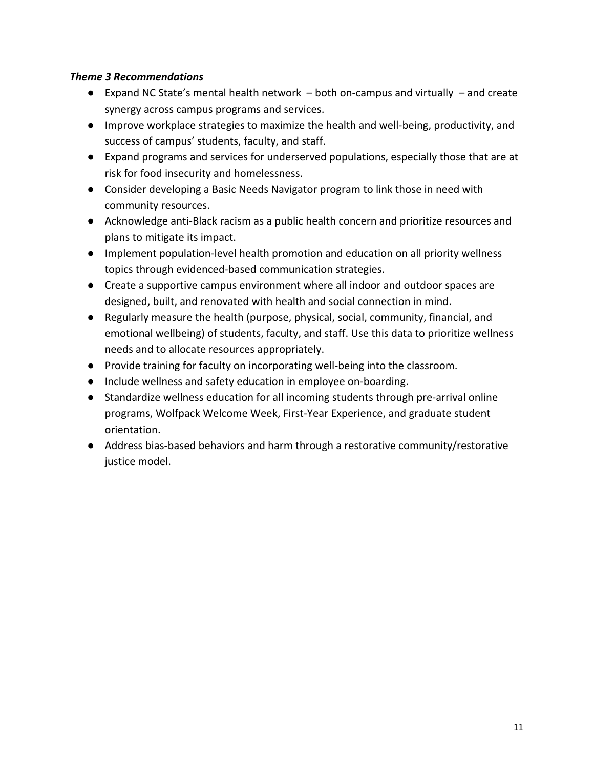#### *Theme 3 Recommendations*

- $\bullet$  Expand NC State's mental health network  $-$  both on-campus and virtually  $-$  and create synergy across campus programs and services.
- Improve workplace strategies to maximize the health and well-being, productivity, and success of campus' students, faculty, and staff.
- Expand programs and services for underserved populations, especially those that are at risk for food insecurity and homelessness.
- Consider developing a Basic Needs Navigator program to link those in need with community resources.
- Acknowledge anti-Black racism as a public health concern and prioritize resources and plans to mitigate its impact.
- Implement population-level health promotion and education on all priority wellness topics through evidenced-based communication strategies.
- Create a supportive campus environment where all indoor and outdoor spaces are designed, built, and renovated with health and social connection in mind.
- Regularly measure the health (purpose, physical, social, community, financial, and emotional wellbeing) of students, faculty, and staff. Use this data to prioritize wellness needs and to allocate resources appropriately.
- Provide training for faculty on incorporating well-being into the classroom.
- Include wellness and safety education in employee on-boarding.
- Standardize wellness education for all incoming students through pre-arrival online programs, Wolfpack Welcome Week, First-Year Experience, and graduate student orientation.
- Address bias-based behaviors and harm through a restorative community/restorative justice model.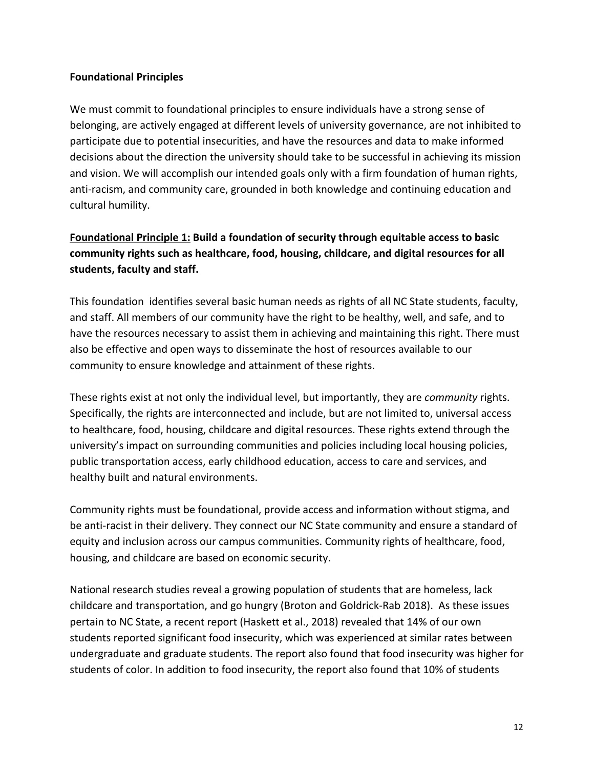#### **Foundational Principles**

We must commit to foundational principles to ensure individuals have a strong sense of belonging, are actively engaged at different levels of university governance, are not inhibited to participate due to potential insecurities, and have the resources and data to make informed decisions about the direction the university should take to be successful in achieving its mission and vision. We will accomplish our intended goals only with a firm foundation of human rights, anti-racism, and community care, grounded in both knowledge and continuing education and cultural humility.

# **Foundational Principle 1: Build a foundation of security through equitable access to basic community rights such as healthcare, food, housing, childcare, and digital resources for all students, faculty and staff.**

This foundation identifies several basic human needs as rights of all NC State students, faculty, and staff. All members of our community have the right to be healthy, well, and safe, and to have the resources necessary to assist them in achieving and maintaining this right. There must also be effective and open ways to disseminate the host of resources available to our community to ensure knowledge and attainment of these rights.

These rights exist at not only the individual level, but importantly, they are *community* rights. Specifically, the rights are interconnected and include, but are not limited to, universal access to healthcare, food, housing, childcare and digital resources. These rights extend through the university's impact on surrounding communities and policies including local housing policies, public transportation access, early childhood education, access to care and services, and healthy built and natural environments.

Community rights must be foundational, provide access and information without stigma, and be anti-racist in their delivery. They connect our NC State community and ensure a standard of equity and inclusion across our campus communities. Community rights of healthcare, food, housing, and childcare are based on economic security.

National research studies reveal a growing population of students that are homeless, lack childcare and transportation, and go hungry (Broton and Goldrick-Rab 2018). As these issues pertain to NC State, a recent report (Haskett et al., 2018) revealed that 14% of our own students reported significant food insecurity, which was experienced at similar rates between undergraduate and graduate students. The report also found that food insecurity was higher for students of color. In addition to food insecurity, the report also found that 10% of students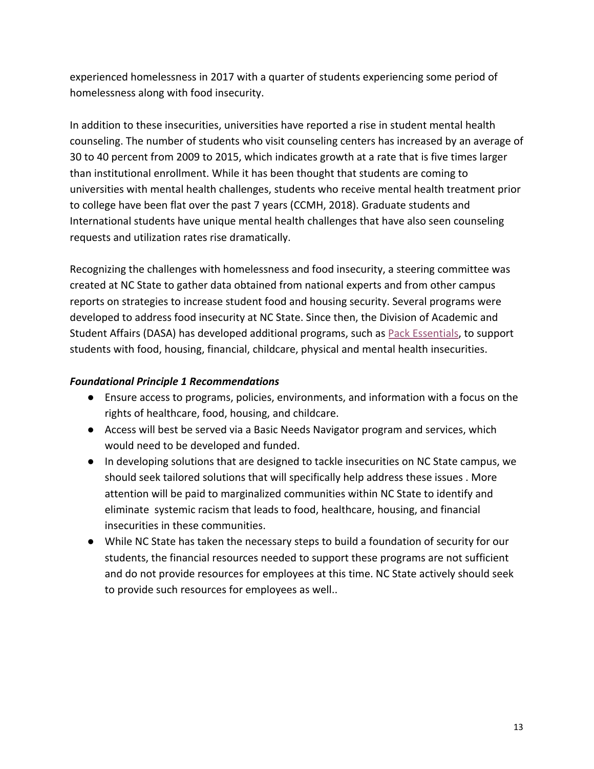experienced homelessness in 2017 with a quarter of students experiencing some period of homelessness along with food insecurity.

In addition to these insecurities, universities have reported a rise in student mental health counseling. The number of students who visit counseling centers has increased by an average of 30 to 40 percent from 2009 to 2015, which indicates growth at a rate that is five times larger than institutional enrollment. While it has been thought that students are coming to universities with mental health challenges, students who receive mental health treatment prior to college have been flat over the past 7 years (CCMH, 2018). Graduate students and International students have unique mental health challenges that have also seen counseling requests and utilization rates rise dramatically.

Recognizing the challenges with homelessness and food insecurity, a steering committee was created at NC State to gather data obtained from national experts and from other campus reports on strategies to increase student food and housing security. Several programs were developed to address food insecurity at NC State. Since then, the Division of Academic and Student Affairs (DASA) has developed additional programs, such as **[Pack Essentials](https://dasa.ncsu.edu/support-and-advocacy/pack-essentials/)**, to support students with food, housing, financial, childcare, physical and mental health insecurities.

#### *Foundational Principle 1 Recommendations*

- Ensure access to programs, policies, environments, and information with a focus on the rights of healthcare, food, housing, and childcare.
- Access will best be served via a Basic Needs Navigator program and services, which would need to be developed and funded.
- In developing solutions that are designed to tackle insecurities on NC State campus, we should seek tailored solutions that will specifically help address these issues . More attention will be paid to marginalized communities within NC State to identify and eliminate systemic racism that leads to food, healthcare, housing, and financial insecurities in these communities.
- While NC State has taken the necessary steps to build a foundation of security for our students, the financial resources needed to support these programs are not sufficient and do not provide resources for employees at this time. NC State actively should seek to provide such resources for employees as well..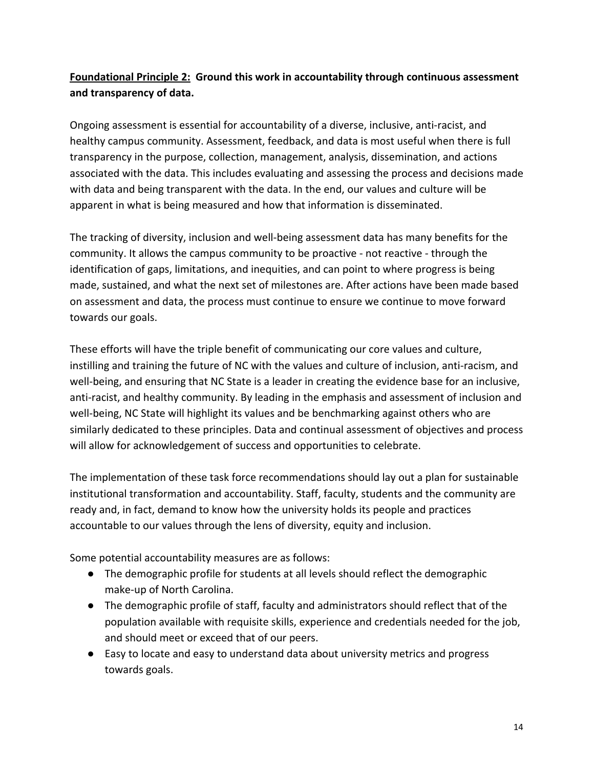# **Foundational Principle 2: Ground this work in accountability through continuous assessment and transparency of data.**

Ongoing assessment is essential for accountability of a diverse, inclusive, anti-racist, and healthy campus community. Assessment, feedback, and data is most useful when there is full transparency in the purpose, collection, management, analysis, dissemination, and actions associated with the data. This includes evaluating and assessing the process and decisions made with data and being transparent with the data. In the end, our values and culture will be apparent in what is being measured and how that information is disseminated.

The tracking of diversity, inclusion and well-being assessment data has many benefits for the community. It allows the campus community to be proactive - not reactive - through the identification of gaps, limitations, and inequities, and can point to where progress is being made, sustained, and what the next set of milestones are. After actions have been made based on assessment and data, the process must continue to ensure we continue to move forward towards our goals.

These efforts will have the triple benefit of communicating our core values and culture, instilling and training the future of NC with the values and culture of inclusion, anti-racism, and well-being, and ensuring that NC State is a leader in creating the evidence base for an inclusive, anti-racist, and healthy community. By leading in the emphasis and assessment of inclusion and well-being, NC State will highlight its values and be benchmarking against others who are similarly dedicated to these principles. Data and continual assessment of objectives and process will allow for acknowledgement of success and opportunities to celebrate.

The implementation of these task force recommendations should lay out a plan for sustainable institutional transformation and accountability. Staff, faculty, students and the community are ready and, in fact, demand to know how the university holds its people and practices accountable to our values through the lens of diversity, equity and inclusion.

Some potential accountability measures are as follows:

- The demographic profile for students at all levels should reflect the demographic make-up of North Carolina.
- The demographic profile of staff, faculty and administrators should reflect that of the population available with requisite skills, experience and credentials needed for the job, and should meet or exceed that of our peers.
- Easy to locate and easy to understand data about university metrics and progress towards goals.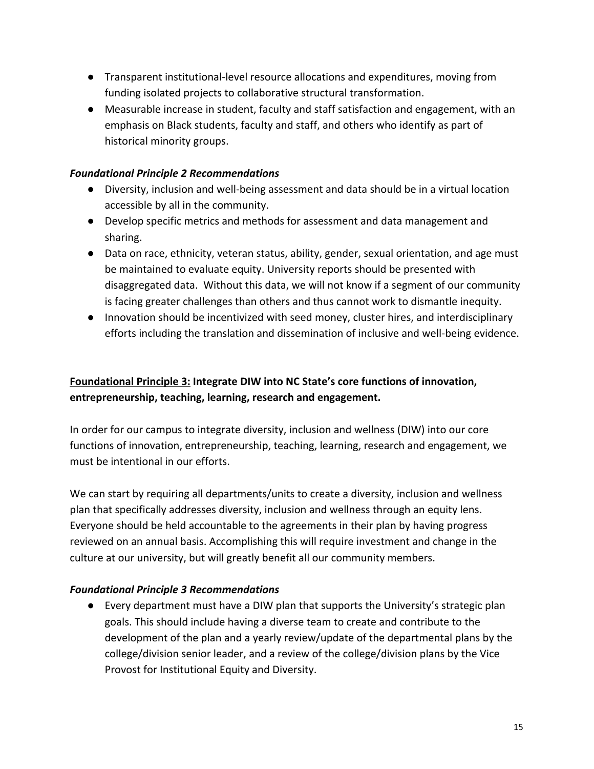- Transparent institutional-level resource allocations and expenditures, moving from funding isolated projects to collaborative structural transformation.
- Measurable increase in student, faculty and staff satisfaction and engagement, with an emphasis on Black students, faculty and staff, and others who identify as part of historical minority groups.

#### *Foundational Principle 2 Recommendations*

- Diversity, inclusion and well-being assessment and data should be in a virtual location accessible by all in the community.
- Develop specific metrics and methods for assessment and data management and sharing.
- Data on race, ethnicity, veteran status, ability, gender, sexual orientation, and age must be maintained to evaluate equity. University reports should be presented with disaggregated data. Without this data, we will not know if a segment of our community is facing greater challenges than others and thus cannot work to dismantle inequity.
- Innovation should be incentivized with seed money, cluster hires, and interdisciplinary efforts including the translation and dissemination of inclusive and well-being evidence.

# **Foundational Principle 3: Integrate DIW into NC State's core functions of innovation, entrepreneurship, teaching, learning, research and engagement.**

In order for our campus to integrate diversity, inclusion and wellness (DIW) into our core functions of innovation, entrepreneurship, teaching, learning, research and engagement, we must be intentional in our efforts.

We can start by requiring all departments/units to create a diversity, inclusion and wellness plan that specifically addresses diversity, inclusion and wellness through an equity lens. Everyone should be held accountable to the agreements in their plan by having progress reviewed on an annual basis. Accomplishing this will require investment and change in the culture at our university, but will greatly benefit all our community members.

## *Foundational Principle 3 Recommendations*

● Every department must have a DIW plan that supports the University's strategic plan goals. This should include having a diverse team to create and contribute to the development of the plan and a yearly review/update of the departmental plans by the college/division senior leader, and a review of the college/division plans by the Vice Provost for Institutional Equity and Diversity.